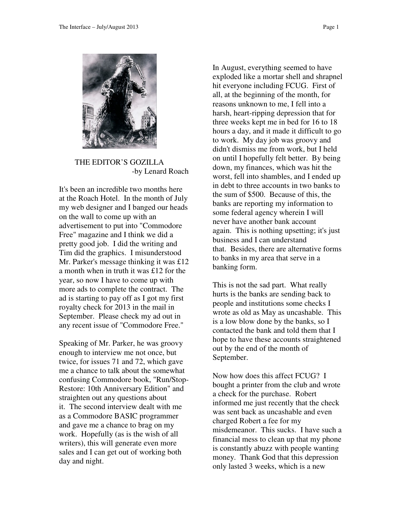

 THE EDITOR'S GOZILLA -by Lenard Roach

It's been an incredible two months here at the Roach Hotel. In the month of July my web designer and I banged our heads on the wall to come up with an advertisement to put into "Commodore Free" magazine and I think we did a pretty good job. I did the writing and Tim did the graphics. I misunderstood Mr. Parker's message thinking it was £12 a month when in truth it was £12 for the year, so now I have to come up with more ads to complete the contract. The ad is starting to pay off as I got my first royalty check for 2013 in the mail in September. Please check my ad out in any recent issue of "Commodore Free."

Speaking of Mr. Parker, he was groovy enough to interview me not once, but twice, for issues 71 and 72, which gave me a chance to talk about the somewhat confusing Commodore book, "Run/Stop-Restore: 10th Anniversary Edition" and straighten out any questions about it. The second interview dealt with me as a Commodore BASIC programmer and gave me a chance to brag on my work. Hopefully (as is the wish of all writers), this will generate even more sales and I can get out of working both day and night.

In August, everything seemed to have exploded like a mortar shell and shrapnel hit everyone including FCUG. First of all, at the beginning of the month, for reasons unknown to me, I fell into a harsh, heart-ripping depression that for three weeks kept me in bed for 16 to 18 hours a day, and it made it difficult to go to work. My day job was groovy and didn't dismiss me from work, but I held on until I hopefully felt better. By being down, my finances, which was hit the worst, fell into shambles, and I ended up in debt to three accounts in two banks to the sum of \$500. Because of this, the banks are reporting my information to some federal agency wherein I will never have another bank account again. This is nothing upsetting; it's just business and I can understand that. Besides, there are alternative forms to banks in my area that serve in a banking form.

This is not the sad part. What really hurts is the banks are sending back to people and institutions some checks I wrote as old as May as uncashable. This is a low blow done by the banks, so I contacted the bank and told them that I hope to have these accounts straightened out by the end of the month of September.

Now how does this affect FCUG? I bought a printer from the club and wrote a check for the purchase. Robert informed me just recently that the check was sent back as uncashable and even charged Robert a fee for my misdemeanor. This sucks. I have such a financial mess to clean up that my phone is constantly abuzz with people wanting money. Thank God that this depression only lasted 3 weeks, which is a new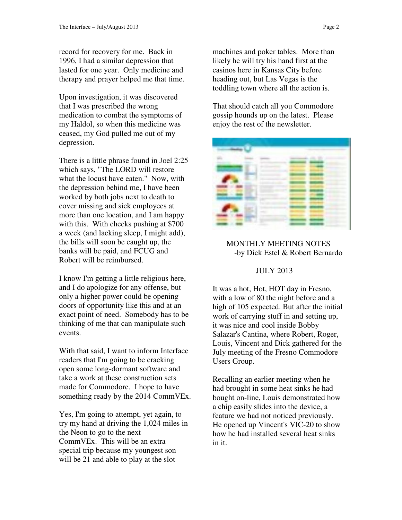record for recovery for me. Back in 1996, I had a similar depression that lasted for one year. Only medicine and therapy and prayer helped me that time.

Upon investigation, it was discovered that I was prescribed the wrong medication to combat the symptoms of my Haldol, so when this medicine was ceased, my God pulled me out of my depression.

There is a little phrase found in Joel 2:25 which says, "The LORD will restore what the locust have eaten." Now, with the depression behind me, I have been worked by both jobs next to death to cover missing and sick employees at more than one location, and I am happy with this. With checks pushing at \$700 a week (and lacking sleep, I might add), the bills will soon be caught up, the banks will be paid, and FCUG and Robert will be reimbursed.

I know I'm getting a little religious here, and I do apologize for any offense, but only a higher power could be opening doors of opportunity like this and at an exact point of need. Somebody has to be thinking of me that can manipulate such events.

With that said, I want to inform Interface readers that I'm going to be cracking open some long-dormant software and take a work at these construction sets made for Commodore. I hope to have something ready by the 2014 CommVEx.

Yes, I'm going to attempt, yet again, to try my hand at driving the 1,024 miles in the Neon to go to the next CommVEx. This will be an extra special trip because my youngest son will be 21 and able to play at the slot

machines and poker tables. More than likely he will try his hand first at the casinos here in Kansas City before heading out, but Las Vegas is the toddling town where all the action is.

That should catch all you Commodore gossip hounds up on the latest. Please enjoy the rest of the newsletter.



## MONTHLY MEETING NOTES -by Dick Estel & Robert Bernardo

#### JULY 2013

It was a hot, Hot, HOT day in Fresno, with a low of 80 the night before and a high of 105 expected. But after the initial work of carrying stuff in and setting up, it was nice and cool inside Bobby Salazar's Cantina, where Robert, Roger, Louis, Vincent and Dick gathered for the July meeting of the Fresno Commodore Users Group.

Recalling an earlier meeting when he had brought in some heat sinks he had bought on-line, Louis demonstrated how a chip easily slides into the device, a feature we had not noticed previously. He opened up Vincent's VIC-20 to show how he had installed several heat sinks in it.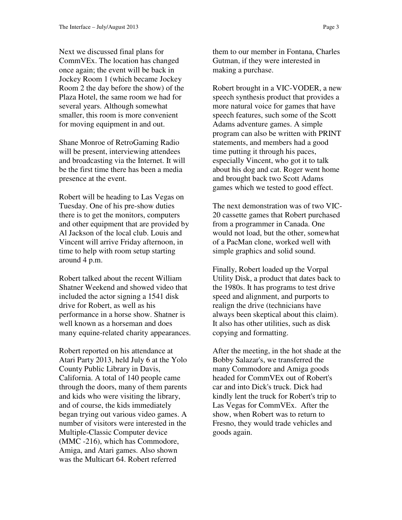Next we discussed final plans for CommVEx. The location has changed once again; the event will be back in Jockey Room 1 (which became Jockey Room 2 the day before the show) of the Plaza Hotel, the same room we had for several years. Although somewhat smaller, this room is more convenient for moving equipment in and out.

Shane Monroe of RetroGaming Radio will be present, interviewing attendees and broadcasting via the Internet. It will be the first time there has been a media presence at the event.

Robert will be heading to Las Vegas on Tuesday. One of his pre-show duties there is to get the monitors, computers and other equipment that are provided by Al Jackson of the local club. Louis and Vincent will arrive Friday afternoon, in time to help with room setup starting around 4 p.m.

Robert talked about the recent William Shatner Weekend and showed video that included the actor signing a 1541 disk drive for Robert, as well as his performance in a horse show. Shatner is well known as a horseman and does many equine-related charity appearances.

Robert reported on his attendance at Atari Party 2013, held July 6 at the Yolo County Public Library in Davis, California. A total of 140 people came through the doors, many of them parents and kids who were visiting the library, and of course, the kids immediately began trying out various video games. A number of visitors were interested in the Multiple-Classic Computer device (MMC -216), which has Commodore, Amiga, and Atari games. Also shown was the Multicart 64. Robert referred

them to our member in Fontana, Charles Gutman, if they were interested in making a purchase.

Robert brought in a VIC-VODER, a new speech synthesis product that provides a more natural voice for games that have speech features, such some of the Scott Adams adventure games. A simple program can also be written with PRINT statements, and members had a good time putting it through his paces, especially Vincent, who got it to talk about his dog and cat. Roger went home and brought back two Scott Adams games which we tested to good effect.

The next demonstration was of two VIC-20 cassette games that Robert purchased from a programmer in Canada. One would not load, but the other, somewhat of a PacMan clone, worked well with simple graphics and solid sound.

Finally, Robert loaded up the Vorpal Utility Disk, a product that dates back to the 1980s. It has programs to test drive speed and alignment, and purports to realign the drive (technicians have always been skeptical about this claim). It also has other utilities, such as disk copying and formatting.

After the meeting, in the hot shade at the Bobby Salazar's, we transferred the many Commodore and Amiga goods headed for CommVEx out of Robert's car and into Dick's truck. Dick had kindly lent the truck for Robert's trip to Las Vegas for CommVEx. After the show, when Robert was to return to Fresno, they would trade vehicles and goods again.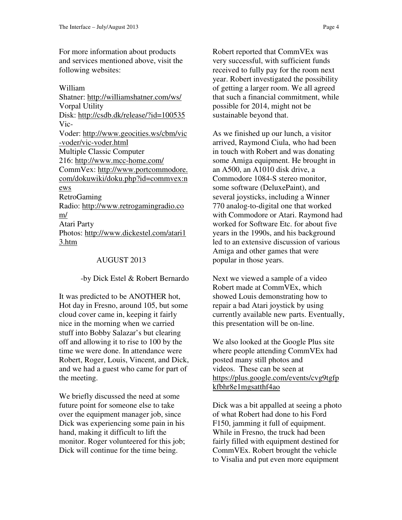For more information about products and services mentioned above, visit the following websites:

William Shatner: http://williamshatner.com/ws/ Vorpal Utility Disk: http://csdb.dk/release/?id=100535 Vic-Voder: http://www.geocities.ws/cbm/vic -voder/vic-voder.html Multiple Classic Computer 216: http://www.mcc-home.com/ CommVex: http://www.portcommodore. com/dokuwiki/doku.php?id=commvex:n ews RetroGaming Radio: http://www.retrogamingradio.co m/ Atari Party Photos: http://www.dickestel.com/atari1 3.htm

#### AUGUST 2013

-by Dick Estel & Robert Bernardo

It was predicted to be ANOTHER hot, Hot day in Fresno, around 105, but some cloud cover came in, keeping it fairly nice in the morning when we carried stuff into Bobby Salazar's but clearing off and allowing it to rise to 100 by the time we were done. In attendance were Robert, Roger, Louis, Vincent, and Dick, and we had a guest who came for part of the meeting.

We briefly discussed the need at some future point for someone else to take over the equipment manager job, since Dick was experiencing some pain in his hand, making it difficult to lift the monitor. Roger volunteered for this job; Dick will continue for the time being.

Robert reported that CommVEx was very successful, with sufficient funds received to fully pay for the room next year. Robert investigated the possibility of getting a larger room. We all agreed that such a financial commitment, while possible for 2014, might not be sustainable beyond that.

As we finished up our lunch, a visitor arrived, Raymond Ciula, who had been in touch with Robert and was donating some Amiga equipment. He brought in an A500, an A1010 disk drive, a Commodore 1084-S stereo monitor, some software (DeluxePaint), and several joysticks, including a Winner 770 analog-to-digital one that worked with Commodore or Atari. Raymond had worked for Software Etc. for about five years in the 1990s, and his background led to an extensive discussion of various Amiga and other games that were popular in those years.

Next we viewed a sample of a video Robert made at CommVEx, which showed Louis demonstrating how to repair a bad Atari joystick by using currently available new parts. Eventually, this presentation will be on-line.

We also looked at the Google Plus site where people attending CommVEx had posted many still photos and videos. These can be seen at https://plus.google.com/events/cvg9tgfp kfbhr8e1mgsatthf4ao

Dick was a bit appalled at seeing a photo of what Robert had done to his Ford F150, jamming it full of equipment. While in Fresno, the truck had been fairly filled with equipment destined for CommVEx. Robert brought the vehicle to Visalia and put even more equipment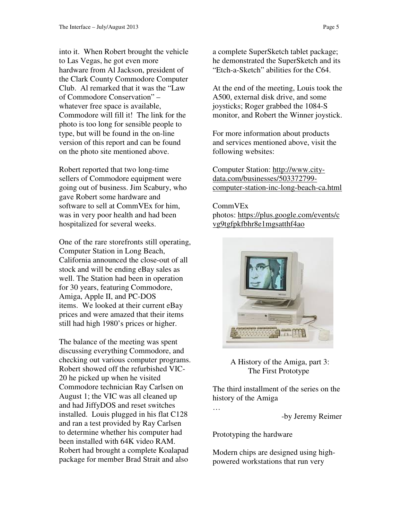into it. When Robert brought the vehicle to Las Vegas, he got even more hardware from Al Jackson, president of the Clark County Commodore Computer Club. Al remarked that it was the "Law of Commodore Conservation" – whatever free space is available, Commodore will fill it! The link for the photo is too long for sensible people to type, but will be found in the on-line version of this report and can be found on the photo site mentioned above.

Robert reported that two long-time sellers of Commodore equipment were going out of business. Jim Scabury, who gave Robert some hardware and software to sell at CommVEx for him, was in very poor health and had been hospitalized for several weeks.

One of the rare storefronts still operating, Computer Station in Long Beach, California announced the close-out of all stock and will be ending eBay sales as well. The Station had been in operation for 30 years, featuring Commodore, Amiga, Apple II, and PC-DOS items. We looked at their current eBay prices and were amazed that their items still had high 1980's prices or higher.

The balance of the meeting was spent discussing everything Commodore, and checking out various computer programs. Robert showed off the refurbished VIC-20 he picked up when he visited Commodore technician Ray Carlsen on August 1; the VIC was all cleaned up and had JiffyDOS and reset switches installed. Louis plugged in his flat C128 and ran a test provided by Ray Carlsen to determine whether his computer had been installed with 64K video RAM. Robert had brought a complete Koalapad package for member Brad Strait and also

a complete SuperSketch tablet package; he demonstrated the SuperSketch and its "Etch-a-Sketch" abilities for the C64.

At the end of the meeting, Louis took the A500, external disk drive, and some joysticks; Roger grabbed the 1084-S monitor, and Robert the Winner joystick.

For more information about products and services mentioned above, visit the following websites:

Computer Station: http://www.citydata.com/businesses/503372799 computer-station-inc-long-beach-ca.html

#### CommVEx

photos: https://plus.google.com/events/c vg9tgfpkfbhr8e1mgsatthf4ao



 A History of the Amiga, part 3: The First Prototype

The third installment of the series on the history of the Amiga

-by Jeremy Reimer

Prototyping the hardware

…

Modern chips are designed using highpowered workstations that run very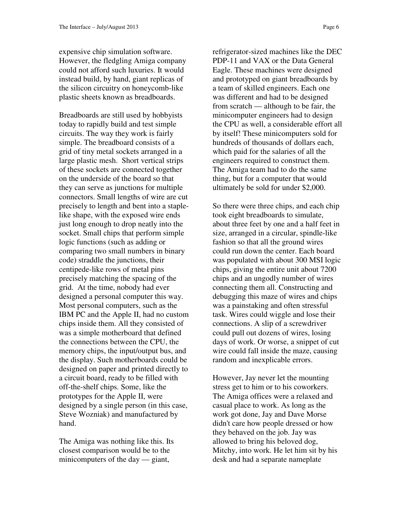expensive chip simulation software. However, the fledgling Amiga company could not afford such luxuries. It would instead build, by hand, giant replicas of the silicon circuitry on honeycomb-like plastic sheets known as breadboards.

Breadboards are still used by hobbyists today to rapidly build and test simple circuits. The way they work is fairly simple. The breadboard consists of a grid of tiny metal sockets arranged in a large plastic mesh. Short vertical strips of these sockets are connected together on the underside of the board so that they can serve as junctions for multiple connectors. Small lengths of wire are cut precisely to length and bent into a staplelike shape, with the exposed wire ends just long enough to drop neatly into the socket. Small chips that perform simple logic functions (such as adding or comparing two small numbers in binary code) straddle the junctions, their centipede-like rows of metal pins precisely matching the spacing of the grid. At the time, nobody had ever designed a personal computer this way. Most personal computers, such as the IBM PC and the Apple II, had no custom chips inside them. All they consisted of was a simple motherboard that defined the connections between the CPU, the memory chips, the input/output bus, and the display. Such motherboards could be designed on paper and printed directly to a circuit board, ready to be filled with off-the-shelf chips. Some, like the prototypes for the Apple II, were designed by a single person (in this case, Steve Wozniak) and manufactured by hand.

The Amiga was nothing like this. Its closest comparison would be to the minicomputers of the day — giant,

refrigerator-sized machines like the DEC PDP-11 and VAX or the Data General Eagle. These machines were designed and prototyped on giant breadboards by a team of skilled engineers. Each one was different and had to be designed from scratch — although to be fair, the minicomputer engineers had to design the CPU as well, a considerable effort all by itself! These minicomputers sold for hundreds of thousands of dollars each, which paid for the salaries of all the engineers required to construct them. The Amiga team had to do the same thing, but for a computer that would ultimately be sold for under \$2,000.

So there were three chips, and each chip took eight breadboards to simulate, about three feet by one and a half feet in size, arranged in a circular, spindle-like fashion so that all the ground wires could run down the center. Each board was populated with about 300 MSI logic chips, giving the entire unit about 7200 chips and an ungodly number of wires connecting them all. Constructing and debugging this maze of wires and chips was a painstaking and often stressful task. Wires could wiggle and lose their connections. A slip of a screwdriver could pull out dozens of wires, losing days of work. Or worse, a snippet of cut wire could fall inside the maze, causing random and inexplicable errors.

However, Jay never let the mounting stress get to him or to his coworkers. The Amiga offices were a relaxed and casual place to work. As long as the work got done, Jay and Dave Morse didn't care how people dressed or how they behaved on the job. Jay was allowed to bring his beloved dog, Mitchy, into work. He let him sit by his desk and had a separate nameplate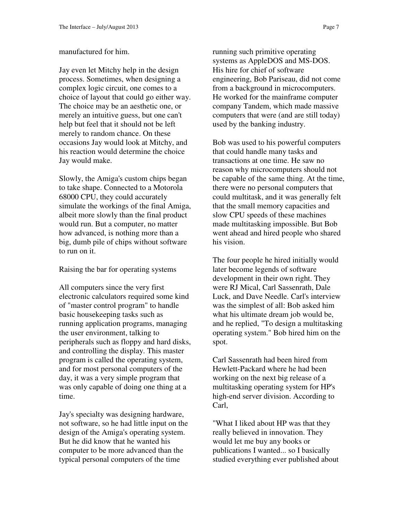#### manufactured for him.

Jay even let Mitchy help in the design process. Sometimes, when designing a complex logic circuit, one comes to a choice of layout that could go either way. The choice may be an aesthetic one, or merely an intuitive guess, but one can't help but feel that it should not be left merely to random chance. On these occasions Jay would look at Mitchy, and his reaction would determine the choice Jay would make.

Slowly, the Amiga's custom chips began to take shape. Connected to a Motorola 68000 CPU, they could accurately simulate the workings of the final Amiga, albeit more slowly than the final product would run. But a computer, no matter how advanced, is nothing more than a big, dumb pile of chips without software to run on it.

Raising the bar for operating systems

All computers since the very first electronic calculators required some kind of "master control program" to handle basic housekeeping tasks such as running application programs, managing the user environment, talking to peripherals such as floppy and hard disks, and controlling the display. This master program is called the operating system, and for most personal computers of the day, it was a very simple program that was only capable of doing one thing at a time.

Jay's specialty was designing hardware, not software, so he had little input on the design of the Amiga's operating system. But he did know that he wanted his computer to be more advanced than the typical personal computers of the time

running such primitive operating systems as AppleDOS and MS-DOS. His hire for chief of software engineering, Bob Pariseau, did not come from a background in microcomputers. He worked for the mainframe computer company Tandem, which made massive computers that were (and are still today) used by the banking industry.

Bob was used to his powerful computers that could handle many tasks and transactions at one time. He saw no reason why microcomputers should not be capable of the same thing. At the time, there were no personal computers that could multitask, and it was generally felt that the small memory capacities and slow CPU speeds of these machines made multitasking impossible. But Bob went ahead and hired people who shared his vision.

The four people he hired initially would later become legends of software development in their own right. They were RJ Mical, Carl Sassenrath, Dale Luck, and Dave Needle. Carl's interview was the simplest of all: Bob asked him what his ultimate dream job would be, and he replied, "To design a multitasking operating system." Bob hired him on the spot.

Carl Sassenrath had been hired from Hewlett-Packard where he had been working on the next big release of a multitasking operating system for HP's high-end server division. According to Carl,

"What I liked about HP was that they really believed in innovation. They would let me buy any books or publications I wanted... so I basically studied everything ever published about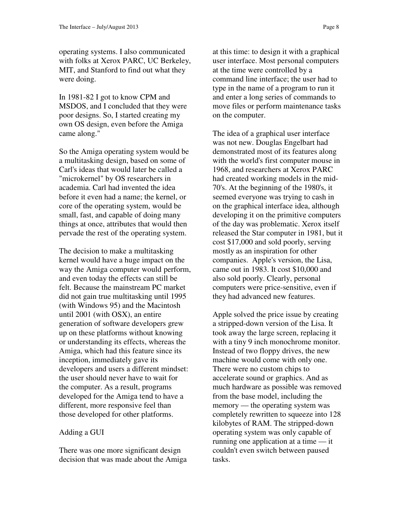operating systems. I also communicated with folks at Xerox PARC, UC Berkeley, MIT, and Stanford to find out what they were doing.

In 1981-82 I got to know CPM and MSDOS, and I concluded that they were poor designs. So, I started creating my own OS design, even before the Amiga came along."

So the Amiga operating system would be a multitasking design, based on some of Carl's ideas that would later be called a "microkernel" by OS researchers in academia. Carl had invented the idea before it even had a name; the kernel, or core of the operating system, would be small, fast, and capable of doing many things at once, attributes that would then pervade the rest of the operating system.

The decision to make a multitasking kernel would have a huge impact on the way the Amiga computer would perform, and even today the effects can still be felt. Because the mainstream PC market did not gain true multitasking until 1995 (with Windows 95) and the Macintosh until 2001 (with OSX), an entire generation of software developers grew up on these platforms without knowing or understanding its effects, whereas the Amiga, which had this feature since its inception, immediately gave its developers and users a different mindset: the user should never have to wait for the computer. As a result, programs developed for the Amiga tend to have a different, more responsive feel than those developed for other platforms.

## Adding a GUI

There was one more significant design decision that was made about the Amiga

at this time: to design it with a graphical user interface. Most personal computers at the time were controlled by a command line interface; the user had to type in the name of a program to run it and enter a long series of commands to move files or perform maintenance tasks on the computer.

The idea of a graphical user interface was not new. Douglas Engelbart had demonstrated most of its features along with the world's first computer mouse in 1968, and researchers at Xerox PARC had created working models in the mid-70's. At the beginning of the 1980's, it seemed everyone was trying to cash in on the graphical interface idea, although developing it on the primitive computers of the day was problematic. Xerox itself released the Star computer in 1981, but it cost \$17,000 and sold poorly, serving mostly as an inspiration for other companies. Apple's version, the Lisa, came out in 1983. It cost \$10,000 and also sold poorly. Clearly, personal computers were price-sensitive, even if they had advanced new features.

Apple solved the price issue by creating a stripped-down version of the Lisa. It took away the large screen, replacing it with a tiny 9 inch monochrome monitor. Instead of two floppy drives, the new machine would come with only one. There were no custom chips to accelerate sound or graphics. And as much hardware as possible was removed from the base model, including the memory — the operating system was completely rewritten to squeeze into 128 kilobytes of RAM. The stripped-down operating system was only capable of running one application at a time — it couldn't even switch between paused tasks.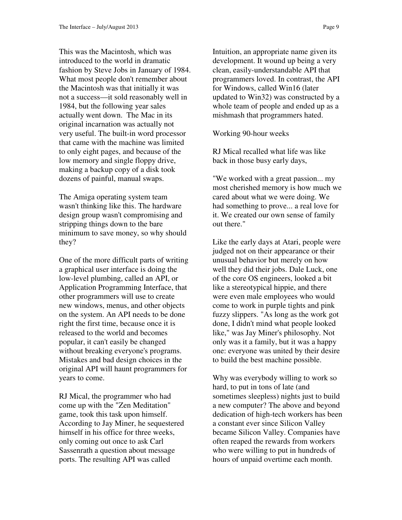This was the Macintosh, which was introduced to the world in dramatic fashion by Steve Jobs in January of 1984. What most people don't remember about the Macintosh was that initially it was not a success—it sold reasonably well in 1984, but the following year sales actually went down. The Mac in its original incarnation was actually not very useful. The built-in word processor that came with the machine was limited to only eight pages, and because of the low memory and single floppy drive, making a backup copy of a disk took dozens of painful, manual swaps.

The Amiga operating system team wasn't thinking like this. The hardware design group wasn't compromising and stripping things down to the bare minimum to save money, so why should they?

One of the more difficult parts of writing a graphical user interface is doing the low-level plumbing, called an API, or Application Programming Interface, that other programmers will use to create new windows, menus, and other objects on the system. An API needs to be done right the first time, because once it is released to the world and becomes popular, it can't easily be changed without breaking everyone's programs. Mistakes and bad design choices in the original API will haunt programmers for years to come.

RJ Mical, the programmer who had come up with the "Zen Meditation" game, took this task upon himself. According to Jay Miner, he sequestered himself in his office for three weeks, only coming out once to ask Carl Sassenrath a question about message ports. The resulting API was called

Intuition, an appropriate name given its development. It wound up being a very clean, easily-understandable API that programmers loved. In contrast, the API for Windows, called Win16 (later updated to Win32) was constructed by a whole team of people and ended up as a mishmash that programmers hated.

Working 90-hour weeks

RJ Mical recalled what life was like back in those busy early days,

"We worked with a great passion... my most cherished memory is how much we cared about what we were doing. We had something to prove... a real love for it. We created our own sense of family out there."

Like the early days at Atari, people were judged not on their appearance or their unusual behavior but merely on how well they did their jobs. Dale Luck, one of the core OS engineers, looked a bit like a stereotypical hippie, and there were even male employees who would come to work in purple tights and pink fuzzy slippers. "As long as the work got done, I didn't mind what people looked like," was Jay Miner's philosophy. Not only was it a family, but it was a happy one: everyone was united by their desire to build the best machine possible.

Why was everybody willing to work so hard, to put in tons of late (and sometimes sleepless) nights just to build a new computer? The above and beyond dedication of high-tech workers has been a constant ever since Silicon Valley became Silicon Valley. Companies have often reaped the rewards from workers who were willing to put in hundreds of hours of unpaid overtime each month.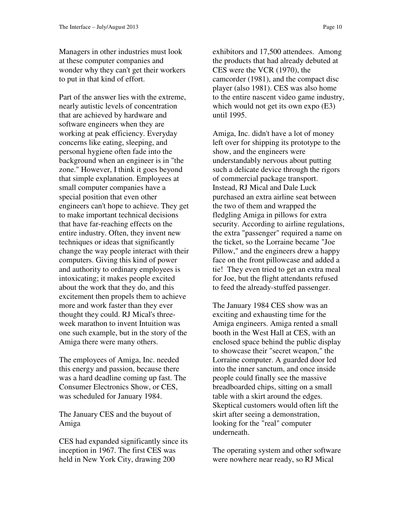Managers in other industries must look at these computer companies and wonder why they can't get their workers to put in that kind of effort.

Part of the answer lies with the extreme, nearly autistic levels of concentration that are achieved by hardware and software engineers when they are working at peak efficiency. Everyday concerns like eating, sleeping, and personal hygiene often fade into the background when an engineer is in "the zone." However, I think it goes beyond that simple explanation. Employees at small computer companies have a special position that even other engineers can't hope to achieve. They get to make important technical decisions that have far-reaching effects on the entire industry. Often, they invent new techniques or ideas that significantly change the way people interact with their computers. Giving this kind of power and authority to ordinary employees is intoxicating; it makes people excited about the work that they do, and this excitement then propels them to achieve more and work faster than they ever thought they could. RJ Mical's threeweek marathon to invent Intuition was one such example, but in the story of the Amiga there were many others.

The employees of Amiga, Inc. needed this energy and passion, because there was a hard deadline coming up fast. The Consumer Electronics Show, or CES, was scheduled for January 1984.

The January CES and the buyout of Amiga

CES had expanded significantly since its inception in 1967. The first CES was held in New York City, drawing 200

exhibitors and 17,500 attendees. Among the products that had already debuted at CES were the VCR (1970), the camcorder (1981), and the compact disc player (also 1981). CES was also home to the entire nascent video game industry, which would not get its own expo  $(E3)$ until 1995.

Amiga, Inc. didn't have a lot of money left over for shipping its prototype to the show, and the engineers were understandably nervous about putting such a delicate device through the rigors of commercial package transport. Instead, RJ Mical and Dale Luck purchased an extra airline seat between the two of them and wrapped the fledgling Amiga in pillows for extra security. According to airline regulations, the extra "passenger" required a name on the ticket, so the Lorraine became "Joe Pillow," and the engineers drew a happy face on the front pillowcase and added a tie! They even tried to get an extra meal for Joe, but the flight attendants refused to feed the already-stuffed passenger.

The January 1984 CES show was an exciting and exhausting time for the Amiga engineers. Amiga rented a small booth in the West Hall at CES, with an enclosed space behind the public display to showcase their "secret weapon," the Lorraine computer. A guarded door led into the inner sanctum, and once inside people could finally see the massive breadboarded chips, sitting on a small table with a skirt around the edges. Skeptical customers would often lift the skirt after seeing a demonstration, looking for the "real" computer underneath.

The operating system and other software were nowhere near ready, so RJ Mical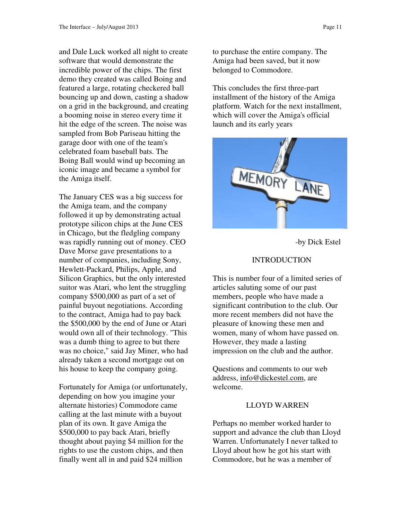and Dale Luck worked all night to create software that would demonstrate the incredible power of the chips. The first demo they created was called Boing and featured a large, rotating checkered ball bouncing up and down, casting a shadow on a grid in the background, and creating a booming noise in stereo every time it hit the edge of the screen. The noise was sampled from Bob Pariseau hitting the garage door with one of the team's celebrated foam baseball bats. The Boing Ball would wind up becoming an iconic image and became a symbol for the Amiga itself.

The January CES was a big success for the Amiga team, and the company followed it up by demonstrating actual prototype silicon chips at the June CES in Chicago, but the fledgling company was rapidly running out of money. CEO Dave Morse gave presentations to a number of companies, including Sony, Hewlett-Packard, Philips, Apple, and Silicon Graphics, but the only interested suitor was Atari, who lent the struggling company \$500,000 as part of a set of painful buyout negotiations. According to the contract, Amiga had to pay back the \$500,000 by the end of June or Atari would own all of their technology. "This was a dumb thing to agree to but there was no choice," said Jay Miner, who had already taken a second mortgage out on his house to keep the company going.

Fortunately for Amiga (or unfortunately, depending on how you imagine your alternate histories) Commodore came calling at the last minute with a buyout plan of its own. It gave Amiga the \$500,000 to pay back Atari, briefly thought about paying \$4 million for the rights to use the custom chips, and then finally went all in and paid \$24 million

to purchase the entire company. The Amiga had been saved, but it now belonged to Commodore.

This concludes the first three-part installment of the history of the Amiga platform. Watch for the next installment, which will cover the Amiga's official launch and its early years



-by Dick Estel

# INTRODUCTION

This is number four of a limited series of articles saluting some of our past members, people who have made a significant contribution to the club. Our more recent members did not have the pleasure of knowing these men and women, many of whom have passed on. However, they made a lasting impression on the club and the author.

Questions and comments to our web address, info@dickestel.com, are welcome.

## LLOYD WARREN

Perhaps no member worked harder to support and advance the club than Lloyd Warren. Unfortunately I never talked to Lloyd about how he got his start with Commodore, but he was a member of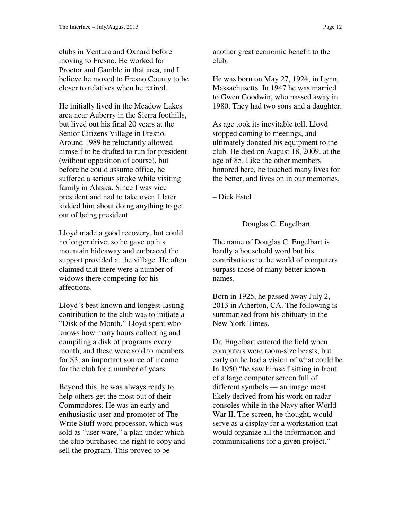clubs in Ventura and Oxnard before moving to Fresno. He worked for Proctor and Gamble in that area, and I believe he moved to Fresno County to be closer to relatives when he retired.

He initially lived in the Meadow Lakes area near Auberry in the Sierra foothills, but lived out his final 20 years at the Senior Citizens Village in Fresno. Around 1989 he reluctantly allowed himself to be drafted to run for president (without opposition of course), but before he could assume office, he suffered a serious stroke while visiting family in Alaska. Since I was vice president and had to take over, I later kidded him about doing anything to get out of being president.

Lloyd made a good recovery, but could no longer drive, so he gave up his mountain hideaway and embraced the support provided at the village. He often claimed that there were a number of widows there competing for his affections.

Lloyd's best-known and longest-lasting contribution to the club was to initiate a "Disk of the Month." Lloyd spent who knows how many hours collecting and compiling a disk of programs every month, and these were sold to members for \$3, an important source of income for the club for a number of years.

Beyond this, he was always ready to help others get the most out of their Commodores. He was an early and enthusiastic user and promoter of The Write Stuff word processor, which was sold as "user ware," a plan under which the club purchased the right to copy and sell the program. This proved to be

another great economic benefit to the club.

He was born on May 27, 1924, in Lynn, Massachusetts. In 1947 he was married to Gwen Goodwin, who passed away in 1980. They had two sons and a daughter.

As age took its inevitable toll, Lloyd stopped coming to meetings, and ultimately donated his equipment to the club. He died on August 18, 2009, at the age of 85. Like the other members honored here, he touched many lives for the better, and lives on in our memories.

– Dick Estel

# Douglas C. Engelbart

The name of Douglas C. Engelbart is hardly a household word but his contributions to the world of computers surpass those of many better known names.

Born in 1925, he passed away July 2, 2013 in Atherton, CA. The following is summarized from his obituary in the New York Times.

Dr. Engelbart entered the field when computers were room-size beasts, but early on he had a vision of what could be. In 1950 "he saw himself sitting in front of a large computer screen full of different symbols — an image most likely derived from his work on radar consoles while in the Navy after World War II. The screen, he thought, would serve as a display for a workstation that would organize all the information and communications for a given project."